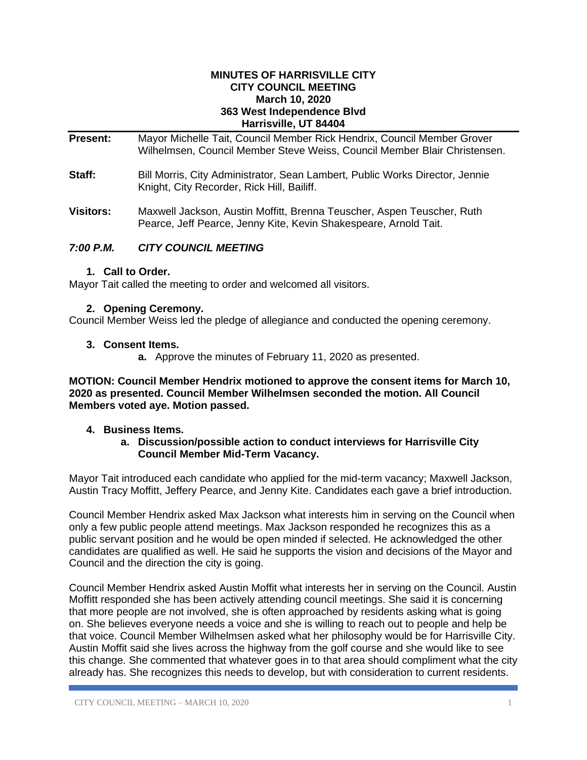#### **MINUTES OF HARRISVILLE CITY CITY COUNCIL MEETING March 10, 2020 363 West Independence Blvd Harrisville, UT 84404**

**Present:** Mayor Michelle Tait, Council Member Rick Hendrix, Council Member Grover Wilhelmsen, Council Member Steve Weiss, Council Member Blair Christensen.

- **Staff:** Bill Morris, City Administrator, Sean Lambert, Public Works Director, Jennie Knight, City Recorder, Rick Hill, Bailiff.
- **Visitors:** Maxwell Jackson, Austin Moffitt, Brenna Teuscher, Aspen Teuscher, Ruth Pearce, Jeff Pearce, Jenny Kite, Kevin Shakespeare, Arnold Tait.

## *7:00 P.M. CITY COUNCIL MEETING*

## **1. Call to Order.**

Mayor Tait called the meeting to order and welcomed all visitors.

## **2. Opening Ceremony.**

Council Member Weiss led the pledge of allegiance and conducted the opening ceremony.

## **3. Consent Items.**

**a.** Approve the minutes of February 11, 2020 as presented.

**MOTION: Council Member Hendrix motioned to approve the consent items for March 10, 2020 as presented. Council Member Wilhelmsen seconded the motion. All Council Members voted aye. Motion passed.**

## **4. Business Items.**

#### **a. Discussion/possible action to conduct interviews for Harrisville City Council Member Mid-Term Vacancy.**

Mayor Tait introduced each candidate who applied for the mid-term vacancy; Maxwell Jackson, Austin Tracy Moffitt, Jeffery Pearce, and Jenny Kite. Candidates each gave a brief introduction.

Council Member Hendrix asked Max Jackson what interests him in serving on the Council when only a few public people attend meetings. Max Jackson responded he recognizes this as a public servant position and he would be open minded if selected. He acknowledged the other candidates are qualified as well. He said he supports the vision and decisions of the Mayor and Council and the direction the city is going.

Council Member Hendrix asked Austin Moffit what interests her in serving on the Council. Austin Moffitt responded she has been actively attending council meetings. She said it is concerning that more people are not involved, she is often approached by residents asking what is going on. She believes everyone needs a voice and she is willing to reach out to people and help be that voice. Council Member Wilhelmsen asked what her philosophy would be for Harrisville City. Austin Moffit said she lives across the highway from the golf course and she would like to see this change. She commented that whatever goes in to that area should compliment what the city already has. She recognizes this needs to develop, but with consideration to current residents.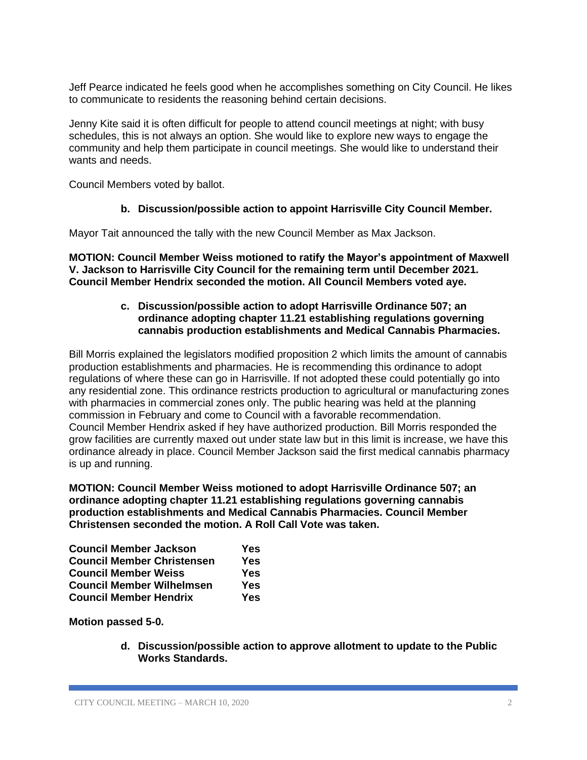Jeff Pearce indicated he feels good when he accomplishes something on City Council. He likes to communicate to residents the reasoning behind certain decisions.

Jenny Kite said it is often difficult for people to attend council meetings at night; with busy schedules, this is not always an option. She would like to explore new ways to engage the community and help them participate in council meetings. She would like to understand their wants and needs.

Council Members voted by ballot.

## **b. Discussion/possible action to appoint Harrisville City Council Member.**

Mayor Tait announced the tally with the new Council Member as Max Jackson.

**MOTION: Council Member Weiss motioned to ratify the Mayor's appointment of Maxwell V. Jackson to Harrisville City Council for the remaining term until December 2021. Council Member Hendrix seconded the motion. All Council Members voted aye.** 

#### **c. Discussion/possible action to adopt Harrisville Ordinance 507; an ordinance adopting chapter 11.21 establishing regulations governing cannabis production establishments and Medical Cannabis Pharmacies.**

Bill Morris explained the legislators modified proposition 2 which limits the amount of cannabis production establishments and pharmacies. He is recommending this ordinance to adopt regulations of where these can go in Harrisville. If not adopted these could potentially go into any residential zone. This ordinance restricts production to agricultural or manufacturing zones with pharmacies in commercial zones only. The public hearing was held at the planning commission in February and come to Council with a favorable recommendation. Council Member Hendrix asked if hey have authorized production. Bill Morris responded the grow facilities are currently maxed out under state law but in this limit is increase, we have this ordinance already in place. Council Member Jackson said the first medical cannabis pharmacy is up and running.

**MOTION: Council Member Weiss motioned to adopt Harrisville Ordinance 507; an ordinance adopting chapter 11.21 establishing regulations governing cannabis production establishments and Medical Cannabis Pharmacies. Council Member Christensen seconded the motion. A Roll Call Vote was taken.**

| <b>Council Member Jackson</b>     | Yes |
|-----------------------------------|-----|
| <b>Council Member Christensen</b> | Yes |
| <b>Council Member Weiss</b>       | Yes |
| <b>Council Member Wilhelmsen</b>  | Yes |
| <b>Council Member Hendrix</b>     | Yes |

**Motion passed 5-0.**

**d. Discussion/possible action to approve allotment to update to the Public Works Standards.**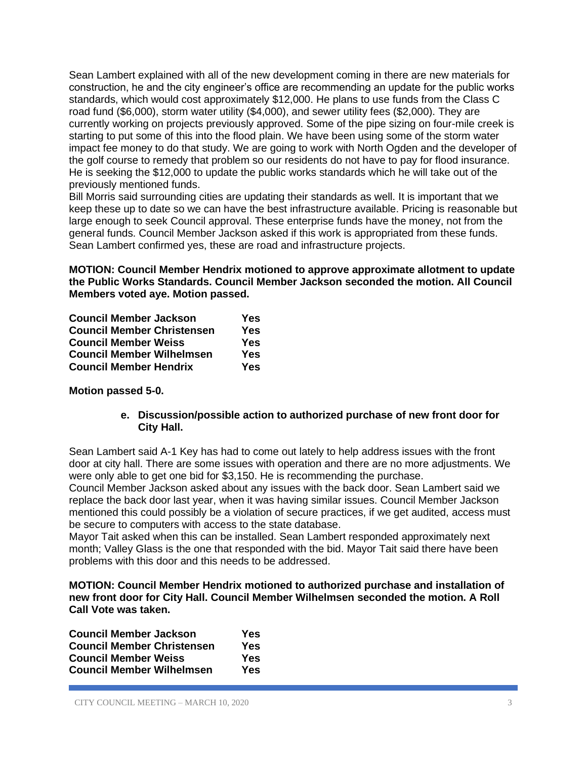Sean Lambert explained with all of the new development coming in there are new materials for construction, he and the city engineer's office are recommending an update for the public works standards, which would cost approximately \$12,000. He plans to use funds from the Class C road fund (\$6,000), storm water utility (\$4,000), and sewer utility fees (\$2,000). They are currently working on projects previously approved. Some of the pipe sizing on four-mile creek is starting to put some of this into the flood plain. We have been using some of the storm water impact fee money to do that study. We are going to work with North Ogden and the developer of the golf course to remedy that problem so our residents do not have to pay for flood insurance. He is seeking the \$12,000 to update the public works standards which he will take out of the previously mentioned funds.

Bill Morris said surrounding cities are updating their standards as well. It is important that we keep these up to date so we can have the best infrastructure available. Pricing is reasonable but large enough to seek Council approval. These enterprise funds have the money, not from the general funds. Council Member Jackson asked if this work is appropriated from these funds. Sean Lambert confirmed yes, these are road and infrastructure projects.

**MOTION: Council Member Hendrix motioned to approve approximate allotment to update the Public Works Standards. Council Member Jackson seconded the motion. All Council Members voted aye. Motion passed.**

| <b>Council Member Jackson</b>     | Yes |
|-----------------------------------|-----|
| <b>Council Member Christensen</b> | Yes |
| <b>Council Member Weiss</b>       | Yes |
| <b>Council Member Wilhelmsen</b>  | Yes |
| <b>Council Member Hendrix</b>     | Yes |

## **Motion passed 5-0.**

**e. Discussion/possible action to authorized purchase of new front door for City Hall.** 

Sean Lambert said A-1 Key has had to come out lately to help address issues with the front door at city hall. There are some issues with operation and there are no more adjustments. We were only able to get one bid for \$3,150. He is recommending the purchase.

Council Member Jackson asked about any issues with the back door. Sean Lambert said we replace the back door last year, when it was having similar issues. Council Member Jackson mentioned this could possibly be a violation of secure practices, if we get audited, access must be secure to computers with access to the state database.

Mayor Tait asked when this can be installed. Sean Lambert responded approximately next month; Valley Glass is the one that responded with the bid. Mayor Tait said there have been problems with this door and this needs to be addressed.

**MOTION: Council Member Hendrix motioned to authorized purchase and installation of new front door for City Hall. Council Member Wilhelmsen seconded the motion. A Roll Call Vote was taken.**

| Yes |
|-----|
| Yes |
| Yes |
| Yes |
|     |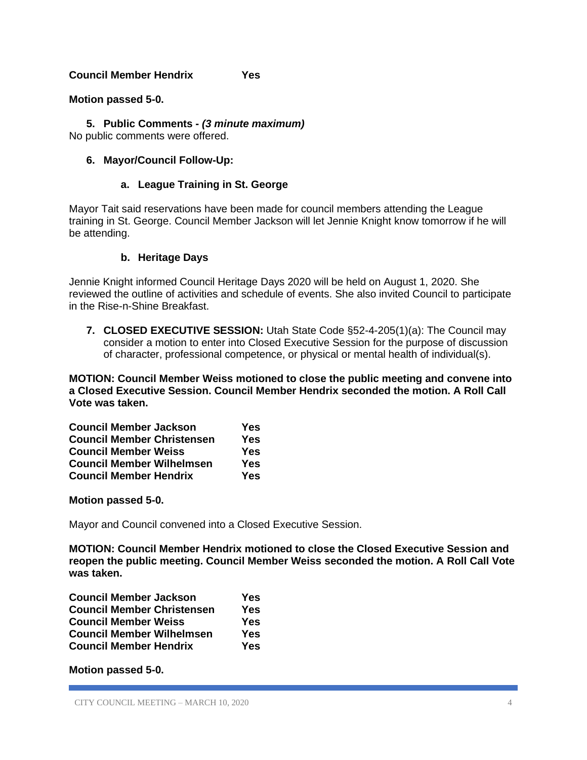## **Council Member Hendrix Yes**

#### **Motion passed 5-0.**

**5. Public Comments -** *(3 minute maximum)* No public comments were offered.

#### **6. Mayor/Council Follow-Up:**

#### **a. League Training in St. George**

Mayor Tait said reservations have been made for council members attending the League training in St. George. Council Member Jackson will let Jennie Knight know tomorrow if he will be attending.

#### **b. Heritage Days**

Jennie Knight informed Council Heritage Days 2020 will be held on August 1, 2020. She reviewed the outline of activities and schedule of events. She also invited Council to participate in the Rise-n-Shine Breakfast.

**7. CLOSED EXECUTIVE SESSION:** Utah State Code §52-4-205(1)(a): The Council may consider a motion to enter into Closed Executive Session for the purpose of discussion of character, professional competence, or physical or mental health of individual(s).

**MOTION: Council Member Weiss motioned to close the public meeting and convene into a Closed Executive Session. Council Member Hendrix seconded the motion. A Roll Call Vote was taken.**

| <b>Council Member Jackson</b>     | Yes |
|-----------------------------------|-----|
| <b>Council Member Christensen</b> | Yes |
| <b>Council Member Weiss</b>       | Yes |
| <b>Council Member Wilhelmsen</b>  | Yes |
| <b>Council Member Hendrix</b>     | Yes |

#### **Motion passed 5-0.**

Mayor and Council convened into a Closed Executive Session.

**MOTION: Council Member Hendrix motioned to close the Closed Executive Session and reopen the public meeting. Council Member Weiss seconded the motion. A Roll Call Vote was taken.**

| <b>Council Member Jackson</b>     | Yes        |
|-----------------------------------|------------|
| <b>Council Member Christensen</b> | <b>Yes</b> |
| <b>Council Member Weiss</b>       | Yes        |
| <b>Council Member Wilhelmsen</b>  | Yes        |
| <b>Council Member Hendrix</b>     | Yes        |

**Motion passed 5-0.**